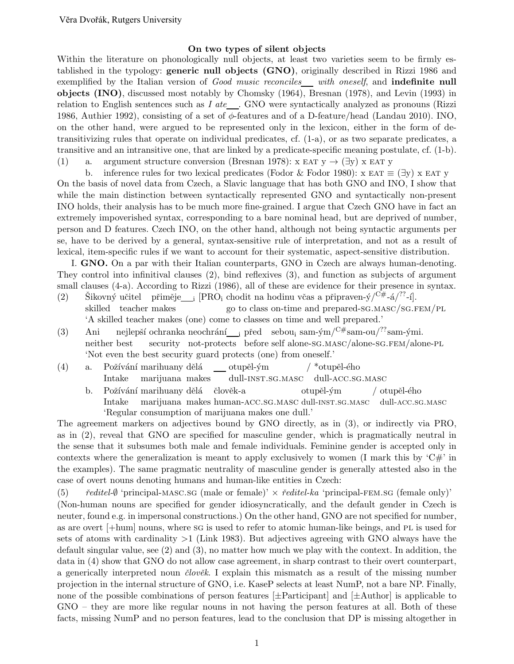## On two types of silent objects

Within the literature on phonologically null objects, at least two varieties seem to be firmly established in the typology: generic null objects (GNO), originally described in Rizzi 1986 and exemplified by the Italian version of Good music reconciles with oneself, and indefinite null objects (INO), discussed most notably by Chomsky (1964), Bresnan (1978), and Levin (1993) in relation to English sentences such as  $I$  ate  $\Box$ . GNO were syntactically analyzed as pronouns (Rizzi 1986, Authier 1992), consisting of a set of  $\phi$ -features and of a D-feature/head (Landau 2010). INO, on the other hand, were argued to be represented only in the lexicon, either in the form of detransitivizing rules that operate on individual predicates, cf. (1-a), or as two separate predicates, a transitive and an intransitive one, that are linked by a predicate-specific meaning postulate, cf. (1-b). (1) a. argument structure conversion (Bresnan 1978):  $x EAT y \rightarrow (\exists y) x EAT y$ 

b. inference rules for two lexical predicates (Fodor & Fodor 1980):  $x \text{ EAT} \equiv (\exists y) x \text{ EAT } y$ On the basis of novel data from Czech, a Slavic language that has both GNO and INO, I show that while the main distinction between syntactically represented GNO and syntactically non-present INO holds, their analysis has to be much more fine-grained. I argue that Czech GNO have in fact an extremely impoverished syntax, corresponding to a bare nominal head, but are deprived of number, person and D features. Czech INO, on the other hand, although not being syntactic arguments per se, have to be derived by a general, syntax-sensitive rule of interpretation, and not as a result of lexical, item-specific rules if we want to account for their systematic, aspect-sensitive distribution.

I. GNO. On a par with their Italian counterparts, GNO in Czech are always human-denoting. They control into infinitival clauses (2), bind reflexives (3), and function as subjects of argument small clauses (4-a). According to Rizzi (1986), all of these are evidence for their presence in syntax. (2) Šikovný učitel přiměje<sub>i</sub> [PRO<sub>i</sub> chodit na hodinu včas a připraven-ý/<sup>C#</sup>-á/<sup>??</sup>-í].

- skilled teacher makes go to class on-time and prepared-sg.masc/sg.fem/pl 'A skilled teacher makes (one) come to classes on time and well prepared.'
- (3) Ani neither best nejlepší ochranka neochrání\_\_<sub>i</sub> před sebou<sub>i</sub> sam-ým/<sup>C#</sup>sam-ou/<sup>??</sup>sam-ými. security not-protects before self alone-sg.masc/alone-sg.FEM/alone-PL 'Not even the best security guard protects (one) from oneself.'
- (4) a. Požívání marihuany dělá Intake marijuana makes  $otup$ ěl-ým dull-inst.sg.masc  $/$  \*otupěl-ého dull-acc.sg.masc b. Požívání marihuany dělá člověk-a otupěl-ým / otupěl-ého

Intake marijuana makes human-ACC.SG.MASC dull-INST.SG.MASC dull-ACC.SG.MASC 'Regular consumption of marijuana makes one dull.'

The agreement markers on adjectives bound by GNO directly, as in (3), or indirectly via PRO, as in (2), reveal that GNO are specified for masculine gender, which is pragmatically neutral in the sense that it subsumes both male and female individuals. Feminine gender is accepted only in contexts where the generalization is meant to apply exclusively to women (I mark this by  $C\#$ ) in the examples). The same pragmatic neutrality of masculine gender is generally attested also in the case of overt nouns denoting humans and human-like entities in Czech:

(5)  $\check{r}$ editel- $\emptyset$  'principal-MASC.SG (male or female)'  $\times$   $\check{r}$ editel-ka 'principal-FEM.SG (female only)' (Non-human nouns are specified for gender idiosyncratically, and the default gender in Czech is neuter, found e.g. in impersonal constructions.) On the other hand, GNO are not specified for number, as are overt [+hum] nouns, where sg is used to refer to atomic human-like beings, and pl is used for sets of atoms with cardinality  $>1$  (Link 1983). But adjectives agreeing with GNO always have the default singular value, see (2) and (3), no matter how much we play with the context. In addition, the data in (4) show that GNO do not allow case agreement, in sharp contrast to their overt counterpart, a generically interpreted noun  $\check{c}lov\check{e}k$ . I explain this mismatch as a result of the missing number projection in the internal structure of GNO, i.e. KaseP selects at least NumP, not a bare NP. Finally, none of the possible combinations of person features  $[\pm \text{Participant}]$  and  $[\pm \text{Author}]$  is applicable to GNO – they are more like regular nouns in not having the person features at all. Both of these facts, missing NumP and no person features, lead to the conclusion that DP is missing altogether in